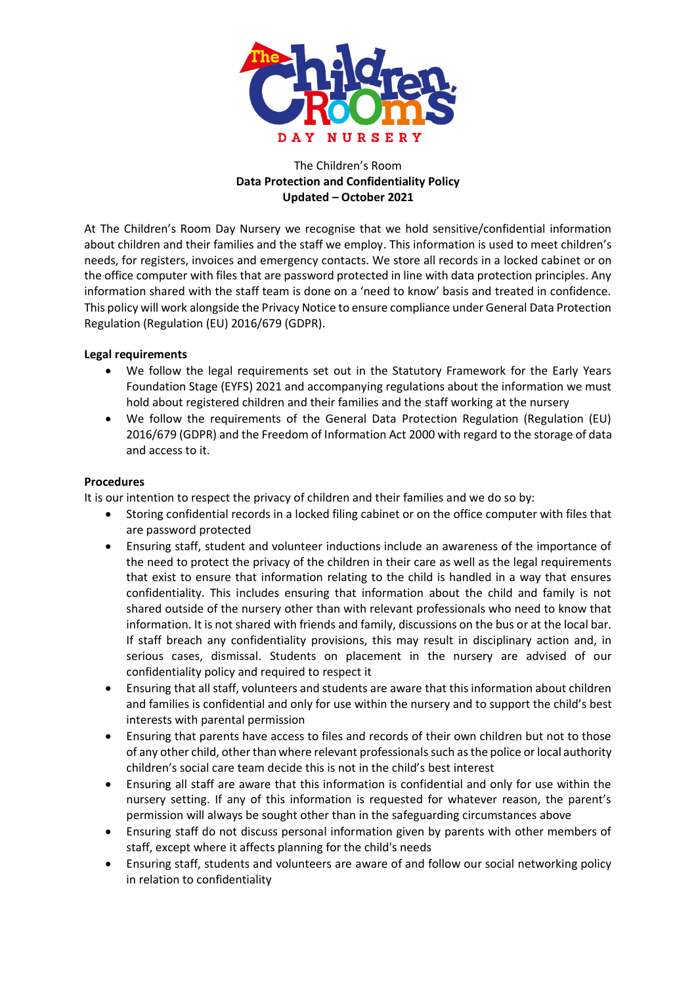

# The Children's Room **Data Protection and Confidentiality Policy Updated – October 2021**

At The Children's Room Day Nursery we recognise that we hold sensitive/confidential information about children and their families and the staff we employ. This information is used to meet children's needs, for registers, invoices and emergency contacts. We store all records in a locked cabinet or on the office computer with files that are password protected in line with data protection principles. Any information shared with the staff team is done on a 'need to know' basis and treated in confidence. This policy will work alongside the Privacy Notice to ensure compliance under General Data Protection Regulation (Regulation (EU) 2016/679 (GDPR).

### **Legal requirements**

- We follow the legal requirements set out in the Statutory Framework for the Early Years Foundation Stage (EYFS) 2021 and accompanying regulations about the information we must hold about registered children and their families and the staff working at the nursery
- We follow the requirements of the General Data Protection Regulation (Regulation (EU) 2016/679 (GDPR) and the Freedom of Information Act 2000 with regard to the storage of data and access to it.

# **Procedures**

It is our intention to respect the privacy of children and their families and we do so by:

- Storing confidential records in a locked filing cabinet or on the office computer with files that are password protected
- Ensuring staff, student and volunteer inductions include an awareness of the importance of the need to protect the privacy of the children in their care as well as the legal requirements that exist to ensure that information relating to the child is handled in a way that ensures confidentiality. This includes ensuring that information about the child and family is not shared outside of the nursery other than with relevant professionals who need to know that information. It is not shared with friends and family, discussions on the bus or at the local bar. If staff breach any confidentiality provisions, this may result in disciplinary action and, in serious cases, dismissal. Students on placement in the nursery are advised of our confidentiality policy and required to respect it
- Ensuring that all staff, volunteers and students are aware that this information about children and families is confidential and only for use within the nursery and to support the child's best interests with parental permission
- Ensuring that parents have access to files and records of their own children but not to those of any other child, other than where relevant professionals such as the police or local authority children's social care team decide this is not in the child's best interest
- Ensuring all staff are aware that this information is confidential and only for use within the nursery setting. If any of this information is requested for whatever reason, the parent's permission will always be sought other than in the safeguarding circumstances above
- Ensuring staff do not discuss personal information given by parents with other members of staff, except where it affects planning for the child's needs
- Ensuring staff, students and volunteers are aware of and follow our social networking policy in relation to confidentiality